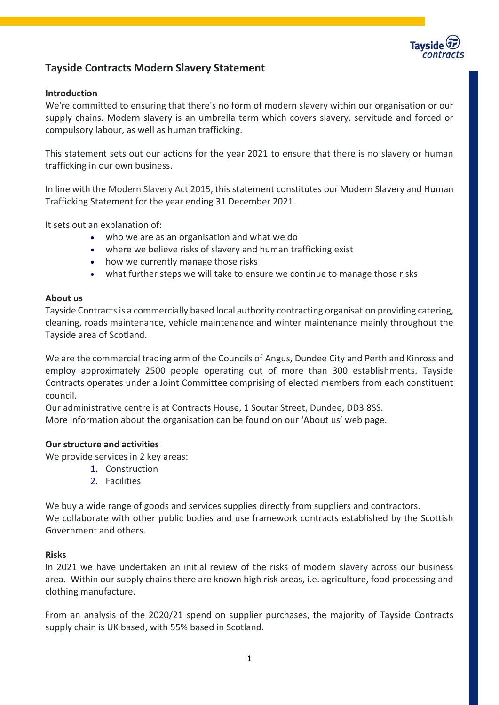

# **Tayside Contracts Modern Slavery Statement**

## **Introduction**

We're committed to ensuring that there's no form of modern slavery within our organisation or our supply chains. Modern slavery is an umbrella term which covers slavery, servitude and forced or compulsory labour, as well as human trafficking.

This statement sets out our actions for the year 2021 to ensure that there is no slavery or human trafficking in our own business.

In line with the [Modern Slavery Act 2015,](https://www.gov.uk/government/collections/modern-slavery-bill) this statement constitutes our Modern Slavery and Human Trafficking Statement for the year ending 31 December 2021.

It sets out an explanation of:

- who we are as an organisation and what we do
- where we believe risks of slavery and human trafficking exist
- how we currently manage those risks
- what further steps we will take to ensure we continue to manage those risks

### **About us**

Tayside Contracts is a commercially based local authority contracting organisation providing catering, cleaning, roads maintenance, vehicle maintenance and winter maintenance mainly throughout the Tayside area of Scotland.

We are the commercial trading arm of the Councils of Angus, Dundee City and Perth and Kinross and employ approximately 2500 people operating out of more than 300 establishments. Tayside Contracts operates under a Joint Committee comprising of elected members from each constituent council.

Our administrative centre is at Contracts House, 1 Soutar Street, Dundee, DD3 8SS.

More information about the organisation can be found on our 'About us' web page.

## **Our structure and activities**

We provide services in 2 key areas:

- 1. Construction
- 2. Facilities

We buy a wide range of goods and services supplies directly from suppliers and contractors. We collaborate with other public bodies and use framework contracts established by the Scottish Government and others.

#### **Risks**

In 2021 we have undertaken an initial review of the risks of modern slavery across our business area. Within our supply chains there are known high risk areas, i.e. agriculture, food processing and clothing manufacture.

From an analysis of the 2020/21 spend on supplier purchases, the majority of Tayside Contracts supply chain is UK based, with 55% based in Scotland.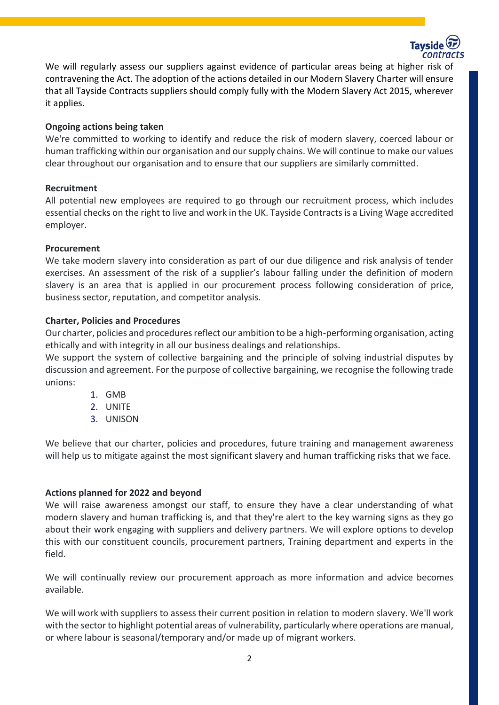

We will regularly assess our suppliers against evidence of particular areas being at higher risk of contravening the Act. The adoption of the actions detailed in our Modern Slavery Charter will ensure that all Tayside Contracts suppliers should comply fully with the Modern Slavery Act 2015, wherever it applies.

## **Ongoing actions being taken**

We're committed to working to identify and reduce the risk of modern slavery, coerced labour or human trafficking within our organisation and our supply chains. We will continue to make our values clear throughout our organisation and to ensure that our suppliers are similarly committed.

### **Recruitment**

All potential new employees are required to go through our recruitment process, which includes essential checks on the right to live and work in the UK. Tayside Contracts is a Living Wage accredited employer.

### **Procurement**

We take modern slavery into consideration as part of our due diligence and risk analysis of tender exercises. An assessment of the risk of a supplier's labour falling under the definition of modern slavery is an area that is applied in our procurement process following consideration of price, business sector, reputation, and competitor analysis.

### **Charter, Policies and Procedures**

Our charter, policies and procedures reflect our ambition to be a high-performing organisation, acting ethically and with integrity in all our business dealings and relationships.

We support the system of collective bargaining and the principle of solving industrial disputes by discussion and agreement. For the purpose of collective bargaining, we recognise the following trade unions:

- 1. GMB
- 2. UNITE
- 3. UNISON

We believe that our charter, policies and procedures, future training and management awareness will help us to mitigate against the most significant slavery and human trafficking risks that we face.

## **Actions planned for 2022 and beyond**

We will raise awareness amongst our staff, to ensure they have a clear understanding of what modern slavery and human trafficking is, and that they're alert to the key warning signs as they go about their work engaging with suppliers and delivery partners. We will explore options to develop this with our constituent councils, procurement partners, Training department and experts in the field. 

We will continually review our procurement approach as more information and advice becomes available.

We will work with suppliers to assess their current position in relation to modern slavery. We'll work with the sector to highlight potential areas of vulnerability, particularly where operations are manual, or where labour is seasonal/temporary and/or made up of migrant workers.